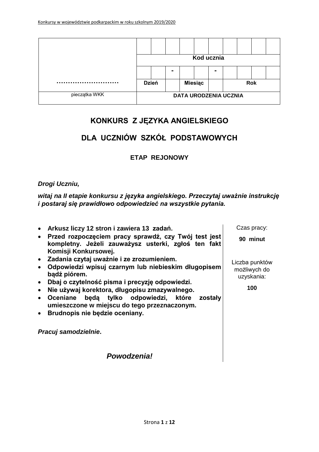|               | Kod ucznia |              |                |                |                |                              |            |  |
|---------------|------------|--------------|----------------|----------------|----------------|------------------------------|------------|--|
|               |            |              | $\blacksquare$ |                | $\blacksquare$ |                              |            |  |
|               |            | <b>Dzień</b> |                | <b>Miesiąc</b> |                |                              | <b>Rok</b> |  |
| pieczątka WKK |            |              |                |                |                | <b>DATA URODZENIA UCZNIA</b> |            |  |

# **KONKURS Z JĘZYKA ANGIELSKIEGO**

# **DLA UCZNIÓW SZKÓŁ PODSTAWOWYCH**

### **ETAP REJONOWY**

#### *Drogi Uczniu,*

*witaj na II etapie konkursu z języka angielskiego. Przeczytaj uważnie instrukcję i postaraj się prawidłowo odpowiedzieć na wszystkie pytania.*

 **Arkusz liczy 12 stron i zawiera 13 zadań. Przed rozpoczęciem pracy sprawdź, czy Twój test jest kompletny. Jeżeli zauważysz usterki, zgłoś ten fakt Komisji Konkursowej. Zadania czytaj uważnie i ze zrozumieniem. Odpowiedzi wpisuj czarnym lub niebieskim długopisem bądź piórem. Dbaj o czytelność pisma i precyzję odpowiedzi. Nie używaj korektora, długopisu zmazywalnego. Oceniane będą tylko odpowiedzi, które zostały umieszczone w miejscu do tego przeznaczonym. Brudnopis nie będzie oceniany.** *Pracuj samodzielnie***.** Czas pracy: **90 minut** Liczba punktów możliwych do uzyskania: **100**

*Powodzenia!*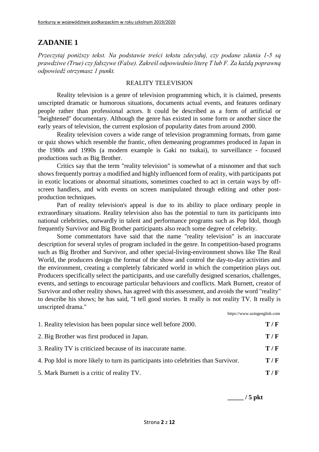*Przeczytaj poniższy tekst. Na podstawie treści tekstu zdecyduj, czy podane zdania 1-5 są prawdziwe (True) czy fałszywe (False). Zakreśl odpowiednio literę T lub F. Za każdą poprawną odpowiedź otrzymasz 1 punkt.*

#### REALITY TELEVISION

Reality television is a genre of television programming which, it is claimed, presents unscripted dramatic or humorous situations, documents actual events, and features ordinary people rather than professional actors. It could be described as a form of artificial or "heightened" documentary. Although the genre has existed in some form or another since the early years of television, the current explosion of popularity dates from around 2000.

Reality television covers a wide range of television programming formats, from game or quiz shows which resemble the frantic, often demeaning programmes produced in Japan in the 1980s and 1990s (a modern example is Gaki no tsukai), to surveillance - focused productions such as Big Brother.

Critics say that the term "reality television" is somewhat of a misnomer and that such shows frequently portray a modified and highly influenced form of reality, with participants put in exotic locations or abnormal situations, sometimes coached to act in certain ways by offscreen handlers, and with events on screen manipulated through editing and other postproduction techniques.

Part of reality television's appeal is due to its ability to place ordinary people in extraordinary situations. Reality television also has the potential to turn its participants into national celebrities, outwardly in talent and performance programs such as Pop Idol, though frequently Survivor and Big Brother participants also reach some degree of celebrity.

Some commentators have said that the name "reality television" is an inaccurate description for several styles of program included in the genre. In competition-based programs such as Big Brother and Survivor, and other special-living-environment shows like The Real World, the producers design the format of the show and control the day-to-day activities and the environment, creating a completely fabricated world in which the competition plays out. Producers specifically select the participants, and use carefully designed scenarios, challenges, events, and settings to encourage particular behaviours and conflicts. Mark Burnett, creator of Survivor and other reality shows, has agreed with this assessment, and avoids the word "reality" to describe his shows; he has said, "I tell good stories. It really is not reality TV. It really is unscripted drama."

| 1. Reality television has been popular since well before 2000.                      |     |
|-------------------------------------------------------------------------------------|-----|
| 2. Big Brother was first produced in Japan.                                         | T/F |
| 3. Reality TV is criticized because of its inaccurate name.                         | T/F |
| 4. Pop Idol is more likely to turn its participants into celebrities than Survivor. | T/F |
| 5. Mark Burnett is a critic of reality TV.                                          | T/F |
|                                                                                     |     |

**\_\_\_\_\_ / 5 pkt**

https://www.usingenglish.com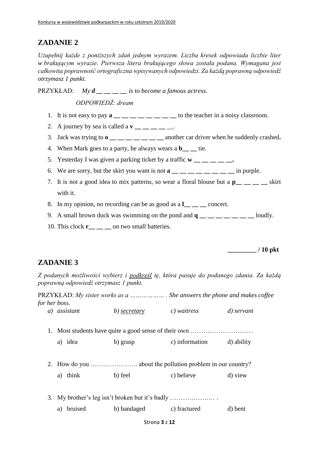*Uzupełnij każde z poniższych zdań jednym wyrazem. Liczba kresek odpowiada liczbie liter w brakującym wyrazie. Pierwsza litera brakującego słowa została podana. Wymagana jest całkowita poprawność ortograficzna wpisywanych odpowiedzi. Za każdą poprawną odpowiedź otrzymasz 1 punkt.*

PRZYKŁAD: *My d \_\_ \_\_ \_\_ \_\_ is to become a famous actress.*

*ODPOWIEDŹ: dream*

- 1. It is not easy to pay **a b** to the teacher in a noisy classroom.
- 2. A journey by sea is called a  $\mathbf{v}$  <u>—  $\phantom{0}$   $\phantom{0}$  —</u>.
- 3. Jack was trying to **o \_\_ \_\_ \_\_ \_\_ \_\_ \_\_ \_\_** another car driver when he suddenly crashed**.**
- 4. When Mark goes to a party, he always wears a **b** i.e.
- 5. Yesterday I was given a parking ticket by a traffic  $\mathbf{w}$  \_\_ \_ \_ \_ \_
- 6. We are sorry, but the skirt you want is not **a \_\_ \_\_ \_\_ \_\_ \_\_ \_\_ \_\_ \_\_** in purple.
- 7. It is not a good idea to mix patterns, so wear a floral blouse but a **p\_\_ \_\_ \_\_ \_\_** skirt with it.
- 8. In my opinion, no recording can be as good as a l concert.
- 9. A small brown duck was swimming on the pond and  $\mathbf{q} = \mathbf{q} = \mathbf{q} = \mathbf{q}$  loudly.
- 10. This clock **r\_\_ \_\_ \_\_** on two small batteries.

**\_\_\_\_\_\_\_\_\_ / 10 pkt**

### **ZADANIE 3**

*Z podanych możliwości wybierz i podkreśl tę, która pasuje do podanego zdania. Za każdą poprawną odpowiedź otrzymasz 1 punkt.*

PRZYKŁAD: *My sister works as a ……………… . She answers the phone and makes coffee for her boss.*

|    | a) assistant  | b) secretary | c) waitress                                        | d) servant |  |
|----|---------------|--------------|----------------------------------------------------|------------|--|
| 1. |               |              | Most students have quite a good sense of their own |            |  |
|    | a) idea       | b) grasp     | c) information                                     | d) ability |  |
|    |               |              |                                                    |            |  |
|    | think<br>a)   | b) feel      | c) believe                                         | d) view    |  |
| 3. |               |              |                                                    |            |  |
|    | bruised<br>a) | b) bandaged  | c) fractured                                       | d) bent    |  |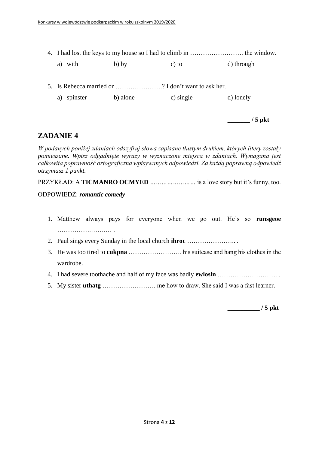- 4. I had lost the keys to my house so I had to climb in ……………………. the window.
	- a) with b) by c) to d) through
- 5. Is Rebecca married or ………………….? I don't want to ask her.
	- a) spinster b) alone c) single d) lonely

**\_\_\_\_\_\_\_ / 5 pkt**

### **ZADANIE 4**

*W podanych poniżej zdaniach odszyfruj słowa zapisane tłustym drukiem, których litery zostały pomieszane. Wpisz odgadnięte wyrazy w wyznaczone miejsca w zdaniach. Wymagana jest całkowita poprawność ortograficzna wpisywanych odpowiedzi. Za każdą poprawną odpowiedź otrzymasz 1 punkt.*

PRZYKŁAD: A **TICMANRO OCMYED** *……………………* is a love story but it's funny, too.

#### ODPOWIEDŹ: *romantic comedy*

- 1. Matthew always pays for everyone when we go out. He's so **runsgeoe** …………….…….… .
- 2. Paul sings every Sunday in the local church **ihroc** ………………….. .
- 3. He was too tired to **cukpna** ……………………. his suitcase and hang his clothes in the wardrobe.
- 4. I had severe toothache and half of my face was badly **ewlosln** ………………………. .
- 5. My sister **uthatg** ……………………. me how to draw. She said I was a fast learner.

**\_\_\_\_\_\_\_\_\_\_ / 5 pkt**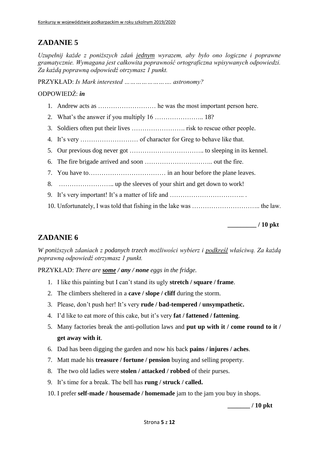*Uzupełnij każde z poniższych zdań jednym wyrazem, aby było ono logiczne i poprawne gramatycznie. Wymagana jest całkowita poprawność ortograficzna wpisywanych odpowiedzi. Za każdą poprawną odpowiedź otrzymasz 1 punkt.*

PRZYKŁAD: *Is Mark interested ……………………. astronomy?*

#### ODPOWIEDŹ: *in*

- 1. Andrew acts as ……………………… he was the most important person here.
- 2. What's the answer if you multiply 16 ………………….. 18?
- 3. Soldiers often put their lives ……………………. risk to rescue other people.
- 4. It's very ……………………… of character for Greg to behave like that.
- 5. Our previous dog never got …………………………….. to sleeping in its kennel.
- 6. The fire brigade arrived and soon ………………………….. out the fire.
- 7. You have to……………………………… in an hour before the plane leaves.
- 8. …………………….. up the sleeves of your shirt and get down to work!
- 9. It's very important! It's a matter of life and …………………………….. .
- 10. Unfortunately, I was told that fishing in the lake was ………………………….. the law.

**\_\_\_\_\_\_\_\_\_ / 10 pkt**

### **ZADANIE 6**

*W poniższych zdaniach z podanych trzech możliwości wybierz i podkreśl właściwą. Za każdą poprawną odpowiedź otrzymasz 1 punkt.*

PRZYKŁAD: *There are some / any / none eggs in the fridge.*

- 1. I like this painting but I can't stand its ugly **stretch / square / frame**.
- 2. The climbers sheltered in a **cave / slope / cliff** during the storm.
- 3. Please, don't push her! It's very **rude / bad-tempered / unsympathetic.**
- 4. I'd like to eat more of this cake, but it's very **fat / fattened / fattening**.
- 5. Many factories break the anti-pollution laws and **put up with it / come round to it / get away with it**.
- 6. Dad has been digging the garden and now his back **pains / injures / aches**.
- 7. Matt made his **treasure / fortune / pension** buying and selling property.
- 8. The two old ladies were **stolen / attacked / robbed** of their purses.
- 9. It's time for a break. The bell has **rung / struck / called.**
- 10. I prefer **self-made / housemade / homemade** jam to the jam you buy in shops.

**\_\_\_\_\_\_\_ / 10 pkt**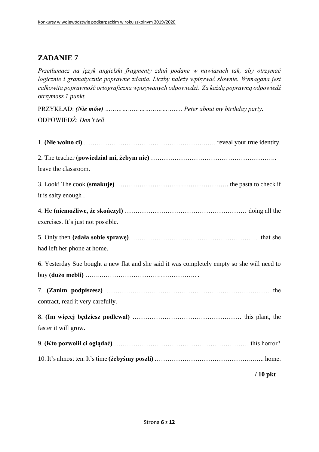*Przetłumacz na język angielski fragmenty zdań podane w nawiasach tak, aby otrzymać logicznie i gramatycznie poprawne zdania. Liczby należy wpisywać słownie. Wymagana jest całkowita poprawność ortograficzna wpisywanych odpowiedzi. Za każdą poprawną odpowiedź otrzymasz 1 punkt.*

| ODPOWIEDŹ: Don't tell                                                                       |                        |
|---------------------------------------------------------------------------------------------|------------------------|
|                                                                                             |                        |
|                                                                                             |                        |
|                                                                                             |                        |
| leave the classroom.                                                                        |                        |
|                                                                                             |                        |
|                                                                                             |                        |
| it is salty enough.                                                                         |                        |
|                                                                                             |                        |
| exercises. It's just not possible.                                                          |                        |
|                                                                                             |                        |
|                                                                                             |                        |
| had left her phone at home.                                                                 |                        |
| 6. Yesterday Sue bought a new flat and she said it was completely empty so she will need to |                        |
|                                                                                             |                        |
|                                                                                             |                        |
| contract, read it very carefully.                                                           |                        |
|                                                                                             |                        |
|                                                                                             |                        |
| faster it will grow.                                                                        |                        |
|                                                                                             |                        |
|                                                                                             |                        |
|                                                                                             | $\frac{1}{2}$ / 10 pkt |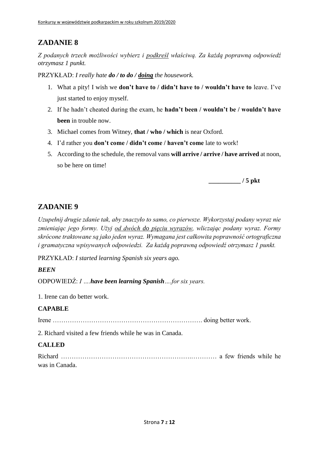*Z podanych trzech możliwości wybierz i podkreśl właściwą. Za każdą poprawną odpowiedź otrzymasz 1 punkt.*

PRZYKŁAD: *I really hate do / to do / doing the housework.*

- 1. What a pity! I wish we **don't have to / didn't have to / wouldn't have to** leave. I've just started to enjoy myself.
- 2. If he hadn't cheated during the exam, he **hadn't been / wouldn't be / wouldn't have been** in trouble now.
- 3. Michael comes from Witney, **that / who / which** is near Oxford.
- 4. I'd rather you **don't come / didn't come / haven't come** late to work!
- 5. According to the schedule, the removal vans **will arrive / arrive / have arrived** at noon, so be here on time!

**\_\_\_\_\_\_\_\_\_\_ / 5 pkt**

# **ZADANIE 9**

*Uzupełnij drugie zdanie tak, aby znaczyło to samo, co pierwsze. Wykorzystaj podany wyraz nie zmieniając jego formy. Użyj od dwóch do pięciu wyrazów, wliczając podany wyraz. Formy skrócone traktowane są jako jeden wyraz. Wymagana jest całkowita poprawność ortograficzna i gramatyczna wpisywanych odpowiedzi. Za każdą poprawną odpowiedź otrzymasz 1 punkt.*

PRZYKŁAD: *I started learning Spanish six years ago.*

### *BEEN*

ODPOWIEDŹ: *I ….have been learning Spanish….for six years.*

1. Irene can do better work.

### **CAPABLE**

Irene ……………………………………………………………. doing better work.

2. Richard visited a few friends while he was in Canada.

### **CALLED**

Richard …………………………………………………….………… a few friends while he was in Canada.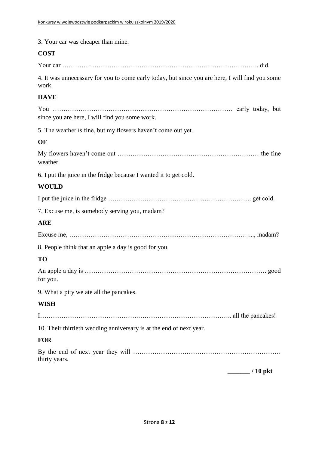| 3. Your car was cheaper than mine.                                                                       |
|----------------------------------------------------------------------------------------------------------|
| <b>COST</b>                                                                                              |
|                                                                                                          |
| 4. It was unnecessary for you to come early today, but since you are here, I will find you some<br>work. |
| <b>HAVE</b>                                                                                              |
| since you are here, I will find you some work.                                                           |
| 5. The weather is fine, but my flowers haven't come out yet.                                             |
| OF                                                                                                       |
| weather.                                                                                                 |
| 6. I put the juice in the fridge because I wanted it to get cold.                                        |
| <b>WOULD</b>                                                                                             |
|                                                                                                          |
| 7. Excuse me, is somebody serving you, madam?                                                            |
| <b>ARE</b>                                                                                               |
|                                                                                                          |
| 8. People think that an apple a day is good for you.                                                     |
| TO                                                                                                       |
| for you.                                                                                                 |
| 9. What a pity we ate all the pancakes.                                                                  |
| <b>WISH</b>                                                                                              |
|                                                                                                          |
| 10. Their thirtieth wedding anniversary is at the end of next year.                                      |
| <b>FOR</b>                                                                                               |
| thirty years.                                                                                            |
| ./10 pkt                                                                                                 |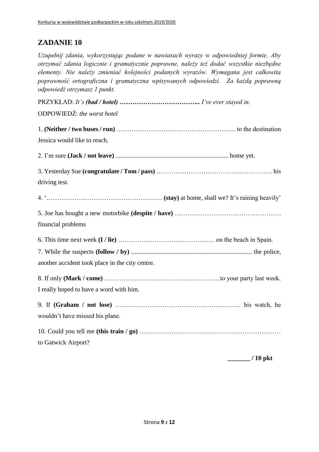*Uzupełnij zdania, wykorzystując podane w nawiasach wyrazy w odpowiedniej formie. Aby otrzymać zdania logicznie i gramatycznie poprawne, należy też dodać wszystkie niezbędne elementy. Nie należy zmieniać kolejności podanych wyrazów. Wymagana jest całkowita poprawność ortograficzna i gramatyczna wpisywanych odpowiedzi. Za każdą poprawną odpowiedź otrzymasz 1 punkt.*

PRZYKŁAD: *It's (bad / hotel) ……………………………….. I've ever stayed in.* ODPOWIEDŹ: *the worst hotel* 1. **(Neither / two buses / run)** ……………………………………………….. to the destination Jessica would like to reach. 2. I'm sure **(Jack / not leave)** ...................................................................... home yet. 3. Yesterday Sue **(congratulate / Tom / pass)** ……………………………………………… his driving test. 4. '……………………………………………… **(stay)** at home, shall we? It's raining heavily' 5. Joe has bought a new motorbike **(despite / have)** ……………………………….…………. financial problems 6. This time next week **(I / lie)** ……………………………………… on the beach in Spain. 7. While the suspects **(follow / by)** ........................................................................... the police, another accident took place in the city centre. 8. If only **(Mark / come)** ………………………………………………to your party last week. I really hoped to have a word with him. 9. If **(Graham / not lose)** ………………………………………………….. his watch, he wouldn't have missed his plane. 10. Could you tell me **(this train / go)** ………………………………………………………… to Gatwick Airport?

**\_\_\_\_\_\_\_ / 10 pkt**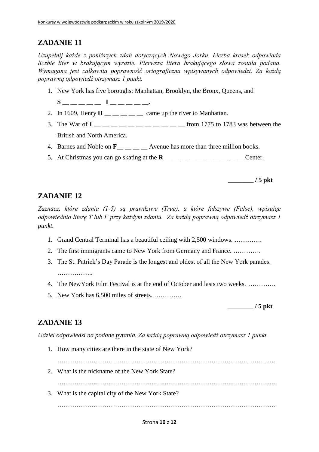*Uzupełnij każde z poniższych zdań dotyczących Nowego Jorku. Liczba kresek odpowiada liczbie liter w brakującym wyrazie. Pierwsza litera brakującego słowa została podana. Wymagana jest całkowita poprawność ortograficzna wpisywanych odpowiedzi. Za każdą poprawną odpowiedź otrzymasz 1 punkt.*

- 1. New York has five boroughs: Manhattan, Brooklyn, the Bronx, Queens, and
	- **S \_\_ \_\_ \_\_ \_\_ \_\_ I \_\_ \_\_ \_\_ \_\_ \_\_.**
- 2. In 1609, Henry  $H \_$   $\_\_$   $\_\_$   $\_\_$   $\_\_$  came up the river to Manhattan.
- 3. The War of  $I_{\text{max}} = 1$  and  $I_{\text{max}} = 1$  and  $I_{\text{max}} = 1$  and  $I_{\text{max}} = 1$  from 1775 to 1783 was between the British and North America.
- 4. Barnes and Noble on **F**<sub>\_\_</sub> \_\_ \_\_ Avenue has more than three million books.
- 5. At Christmas you can go skating at the  $\mathbf{R}$  \_\_ \_ \_ \_ \_ \_ \_ \_ \_ \_ \_ Center.

**\_\_\_\_\_\_\_\_ / 5 pkt**

### **ZADANIE 12**

*Zaznacz, które zdania (1-5) są prawdziwe (True), a które fałszywe (False), wpisując odpowiednio literę T lub F przy każdym zdaniu. Za każdą poprawną odpowiedź otrzymasz 1 punkt.*

- 1. Grand Central Terminal has a beautiful ceiling with 2,500 windows. ………….
- 2. The first immigrants came to New York from Germany and France. ………….
- 3. The St. Patrick's Day Parade is the longest and oldest of all the New York parades.
- 4. The NewYork Film Festival is at the end of October and lasts two weeks. ………….
- 5. New York has 6,500 miles of streets. ………….

**\_\_\_\_\_\_\_\_ / 5 pkt**

### **ZADANIE 13**

*Udziel odpowiedzi na podane pytania. Za każdą poprawną odpowiedź otrzymasz 1 punkt.*

1. How many cities are there in the state of New York?

…………………………………………………………………………………………

2. What is the nickname of the New York State?

…………………………………………………………………………………………

3. What is the capital city of the New York State?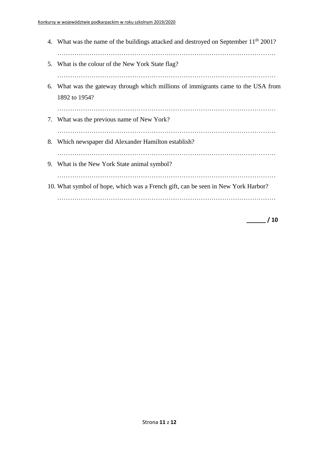4. What was the name of the buildings attacked and destroyed on September 11<sup>th</sup> 2001? ………………………………………………………………………………………… 5. What is the colour of the New York State flag? ………………………………………………………………………………………… 6. What was the gateway through which millions of immigrants came to the USA from 1892 to 1954? ………………………………………………………………………………………… 7. What was the previous name of New York? ………………………………………………………………………………………… 8. Which newspaper did Alexander Hamilton establish? ………………………………………………………………………………………… 9. What is the New York State animal symbol? ………………………………………………………………………………………… 10. What symbol of hope, which was a French gift, can be seen in New York Harbor? …………………………………………………………………………………………

**\_\_\_\_\_\_ / 10**